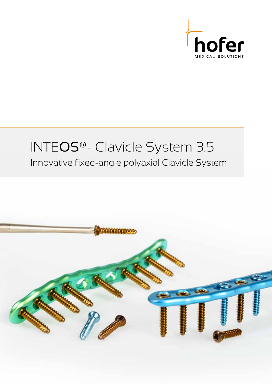

## INTEOS®- Clavicle System 3.5 Innovative fixed-angle polyaxial Clavicle System

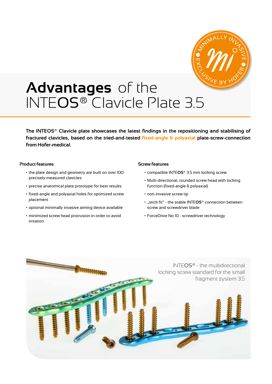

# **Advantages** of the INTEOS® Clavicle Plate 3.5

**The INTEOS® Clavicle plate showcases the latest findings in the repositioning and stabilising of fractured clavicles, based on the tried-and-tested fixed-angle & polyaxial plate-screw-connection from Hofer-medical.**

### **Product features**

- the plate design and geometry are built on over 100 precisely measured clavicles
- precise anatomical plate prototype for best results
- fixed-angle and polyaxial holes for optimized screw placement
- optional minimally invasive aiming device available
- minimized screw head protrusion in order to avoid irritation

#### **Screw features**

- compatible INTE**OS**® 3.5 mm locking screw
- Multi-directional, rounded screw head with locking function (fixed-angle & polyaxial)
- non-invasive screw tip
- "stick fit" the stable INTE**OS**® connection between screw and screwdriver blade
- ForceDrive No 10 screwdriver technology

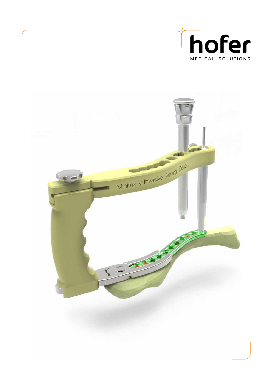